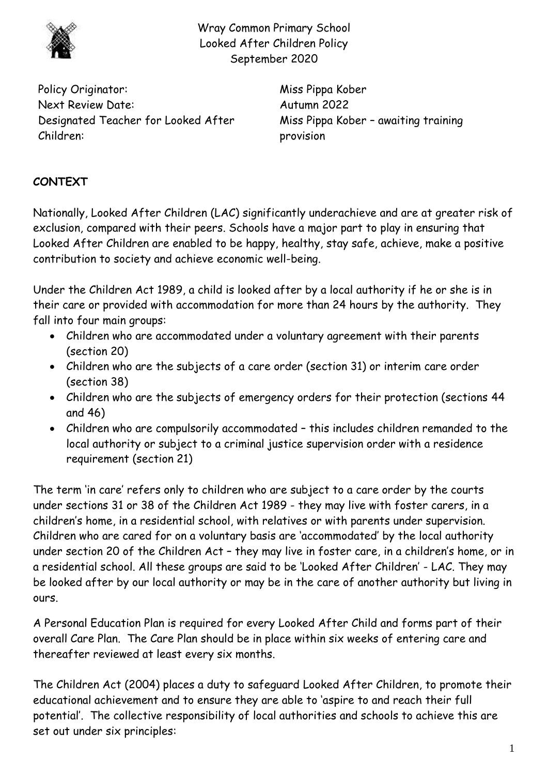

Wray Common Primary School Looked After Children Policy September 2020

Policy Originator: Miss Pippa Kober Next Review Date: Autumn 2022 Designated Teacher for Looked After Children:

Miss Pippa Kober – awaiting training provision

## **CONTEXT**

Nationally, Looked After Children (LAC) significantly underachieve and are at greater risk of exclusion, compared with their peers. Schools have a major part to play in ensuring that Looked After Children are enabled to be happy, healthy, stay safe, achieve, make a positive contribution to society and achieve economic well-being.

Under the Children Act 1989, a child is looked after by a local authority if he or she is in their care or provided with accommodation for more than 24 hours by the authority. They fall into four main groups:

- Children who are accommodated under a voluntary agreement with their parents (section 20)
- Children who are the subjects of a care order (section 31) or interim care order (section 38)
- Children who are the subjects of emergency orders for their protection (sections 44 and 46)
- Children who are compulsorily accommodated this includes children remanded to the local authority or subject to a criminal justice supervision order with a residence requirement (section 21)

The term 'in care' refers only to children who are subject to a care order by the courts under sections 31 or 38 of the Children Act 1989 - they may live with foster carers, in a children's home, in a residential school, with relatives or with parents under supervision. Children who are cared for on a voluntary basis are 'accommodated' by the local authority under section 20 of the Children Act – they may live in foster care, in a children's home, or in a residential school. All these groups are said to be 'Looked After Children' - LAC. They may be looked after by our local authority or may be in the care of another authority but living in ours.

A Personal Education Plan is required for every Looked After Child and forms part of their overall Care Plan. The Care Plan should be in place within six weeks of entering care and thereafter reviewed at least every six months.

The Children Act (2004) places a duty to safeguard Looked After Children, to promote their educational achievement and to ensure they are able to 'aspire to and reach their full potential'. The collective responsibility of local authorities and schools to achieve this are set out under six principles: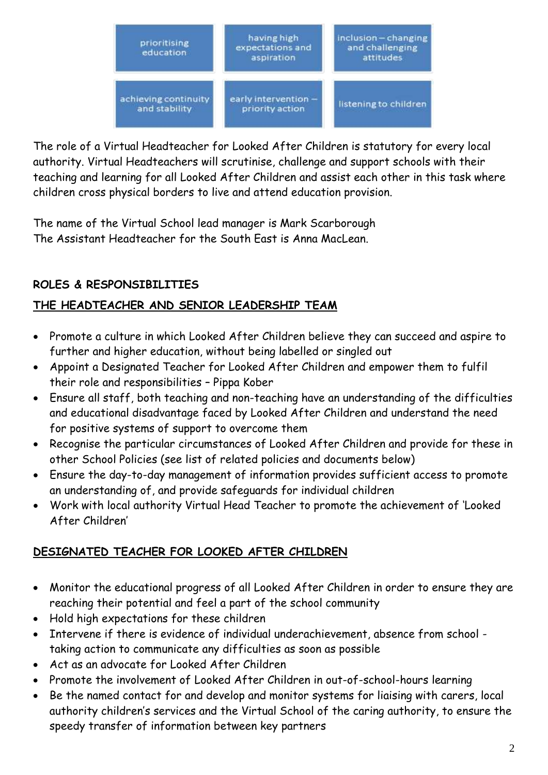

The role of a Virtual Headteacher for Looked After Children is statutory for every local authority. Virtual Headteachers will scrutinise, challenge and support schools with their teaching and learning for all Looked After Children and assist each other in this task where children cross physical borders to live and attend education provision.

The name of the Virtual School lead manager is Mark Scarborough The Assistant Headteacher for the South East is Anna MacLean.

## **ROLES & RESPONSIBILITIES**

### **THE HEADTEACHER AND SENIOR LEADERSHIP TEAM**

- Promote a culture in which Looked After Children believe they can succeed and aspire to further and higher education, without being labelled or singled out
- Appoint a Designated Teacher for Looked After Children and empower them to fulfil their role and responsibilities – Pippa Kober
- Ensure all staff, both teaching and non-teaching have an understanding of the difficulties and educational disadvantage faced by Looked After Children and understand the need for positive systems of support to overcome them
- Recognise the particular circumstances of Looked After Children and provide for these in other School Policies (see list of related policies and documents below)
- Ensure the day-to-day management of information provides sufficient access to promote an understanding of, and provide safeguards for individual children
- Work with local authority Virtual Head Teacher to promote the achievement of 'Looked After Children'

### **DESIGNATED TEACHER FOR LOOKED AFTER CHILDREN**

- Monitor the educational progress of all Looked After Children in order to ensure they are reaching their potential and feel a part of the school community
- Hold high expectations for these children
- Intervene if there is evidence of individual underachievement, absence from school taking action to communicate any difficulties as soon as possible
- Act as an advocate for Looked After Children
- Promote the involvement of Looked After Children in out-of-school-hours learning
- Be the named contact for and develop and monitor systems for liaising with carers, local authority children's services and the Virtual School of the caring authority, to ensure the speedy transfer of information between key partners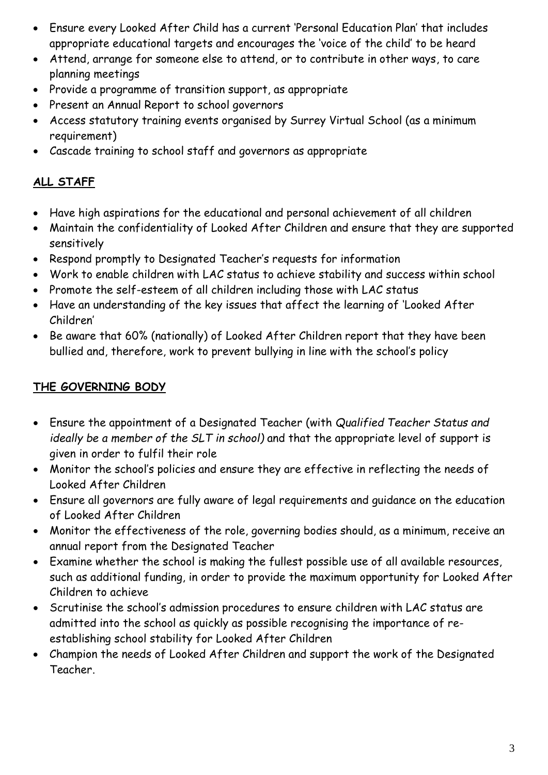- Ensure every Looked After Child has a current 'Personal Education Plan' that includes appropriate educational targets and encourages the 'voice of the child' to be heard
- Attend, arrange for someone else to attend, or to contribute in other ways, to care planning meetings
- Provide a programme of transition support, as appropriate
- Present an Annual Report to school governors
- Access statutory training events organised by Surrey Virtual School (as a minimum requirement)
- Cascade training to school staff and governors as appropriate

# **ALL STAFF**

- Have high aspirations for the educational and personal achievement of all children
- Maintain the confidentiality of Looked After Children and ensure that they are supported sensitively
- Respond promptly to Designated Teacher's requests for information
- Work to enable children with LAC status to achieve stability and success within school
- Promote the self-esteem of all children including those with LAC status
- Have an understanding of the key issues that affect the learning of 'Looked After Children'
- Be aware that 60% (nationally) of Looked After Children report that they have been bullied and, therefore, work to prevent bullying in line with the school's policy

# **THE GOVERNING BODY**

- Ensure the appointment of a Designated Teacher (with *Qualified Teacher Status and ideally be a member of the SLT in school)* and that the appropriate level of support is given in order to fulfil their role
- Monitor the school's policies and ensure they are effective in reflecting the needs of Looked After Children
- Ensure all governors are fully aware of legal requirements and guidance on the education of Looked After Children
- Monitor the effectiveness of the role, governing bodies should, as a minimum, receive an annual report from the Designated Teacher
- Examine whether the school is making the fullest possible use of all available resources, such as additional funding, in order to provide the maximum opportunity for Looked After Children to achieve
- Scrutinise the school's admission procedures to ensure children with LAC status are admitted into the school as quickly as possible recognising the importance of reestablishing school stability for Looked After Children
- Champion the needs of Looked After Children and support the work of the Designated Teacher.